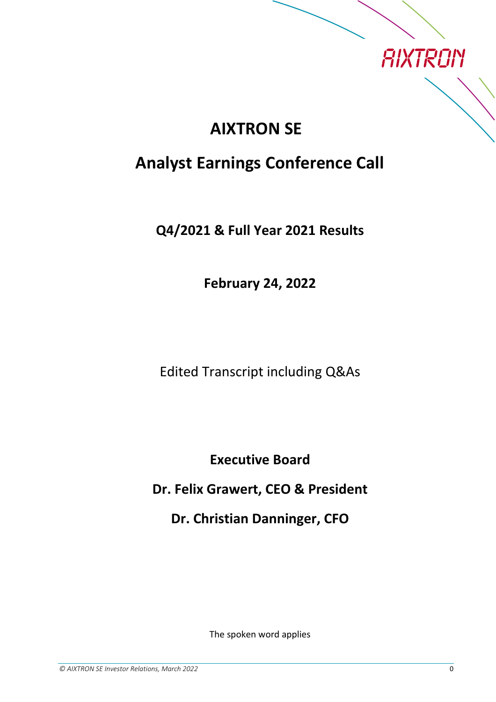

## **AIXTRON SE**

## **Analyst Earnings Conference Call**

**Q4/2021 & Full Year 2021 Results**

**February 24, 2022**

Edited Transcript including Q&As

**Executive Board**

**Dr. Felix Grawert, CEO & President**

**Dr. Christian Danninger, CFO**

The spoken word applies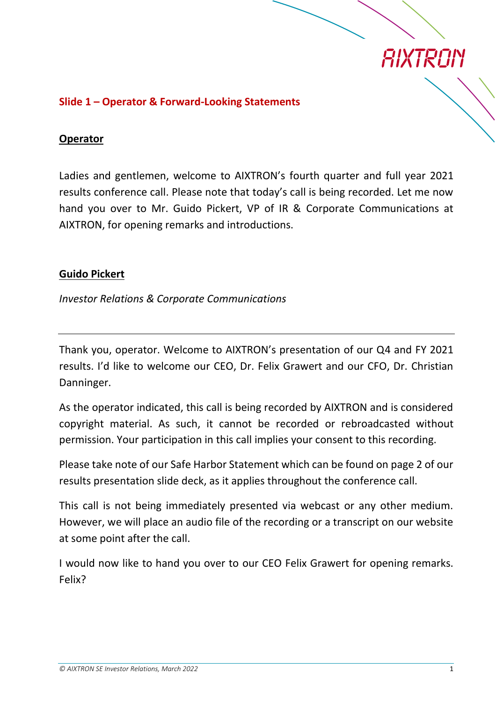

### **Slide 1 – Operator & Forward-Looking Statements**

#### **Operator**

Ladies and gentlemen, welcome to AIXTRON's fourth quarter and full year 2021 results conference call. Please note that today's call is being recorded. Let me now hand you over to Mr. Guido Pickert, VP of IR & Corporate Communications at AIXTRON, for opening remarks and introductions.

#### **Guido Pickert**

*Investor Relations & Corporate Communications*

Thank you, operator. Welcome to AIXTRON's presentation of our Q4 and FY 2021 results. I'd like to welcome our CEO, Dr. Felix Grawert and our CFO, Dr. Christian Danninger.

As the operator indicated, this call is being recorded by AIXTRON and is considered copyright material. As such, it cannot be recorded or rebroadcasted without permission. Your participation in this call implies your consent to this recording.

Please take note of our Safe Harbor Statement which can be found on page 2 of our results presentation slide deck, as it applies throughout the conference call.

This call is not being immediately presented via webcast or any other medium. However, we will place an audio file of the recording or a transcript on our website at some point after the call.

I would now like to hand you over to our CEO Felix Grawert for opening remarks. Felix?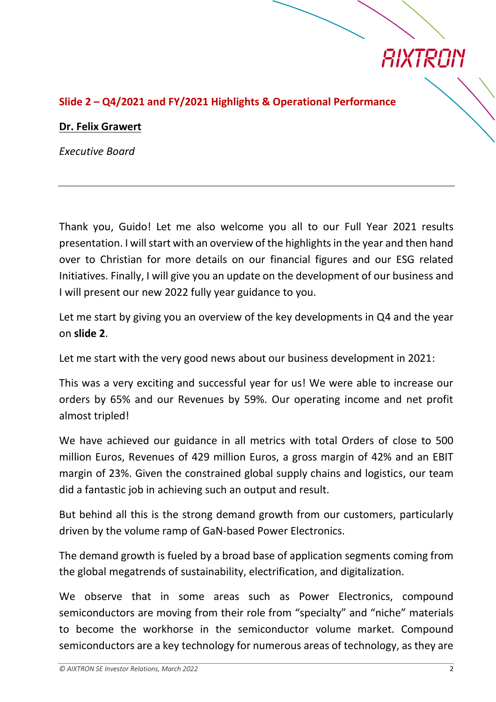

## **Slide 2 – Q4/2021 and FY/2021 Highlights & Operational Performance**

#### **Dr. Felix Grawert**

*Executive Board*

Thank you, Guido! Let me also welcome you all to our Full Year 2021 results presentation. I will start with an overview of the highlights in the year and then hand over to Christian for more details on our financial figures and our ESG related Initiatives. Finally, I will give you an update on the development of our business and I will present our new 2022 fully year guidance to you.

Let me start by giving you an overview of the key developments in Q4 and the year on **slide 2**.

Let me start with the very good news about our business development in 2021:

This was a very exciting and successful year for us! We were able to increase our orders by 65% and our Revenues by 59%. Our operating income and net profit almost tripled!

We have achieved our guidance in all metrics with total Orders of close to 500 million Euros, Revenues of 429 million Euros, a gross margin of 42% and an EBIT margin of 23%. Given the constrained global supply chains and logistics, our team did a fantastic job in achieving such an output and result.

But behind all this is the strong demand growth from our customers, particularly driven by the volume ramp of GaN-based Power Electronics.

The demand growth is fueled by a broad base of application segments coming from the global megatrends of sustainability, electrification, and digitalization.

We observe that in some areas such as Power Electronics, compound semiconductors are moving from their role from "specialty" and "niche" materials to become the workhorse in the semiconductor volume market. Compound semiconductors are a key technology for numerous areas of technology, as they are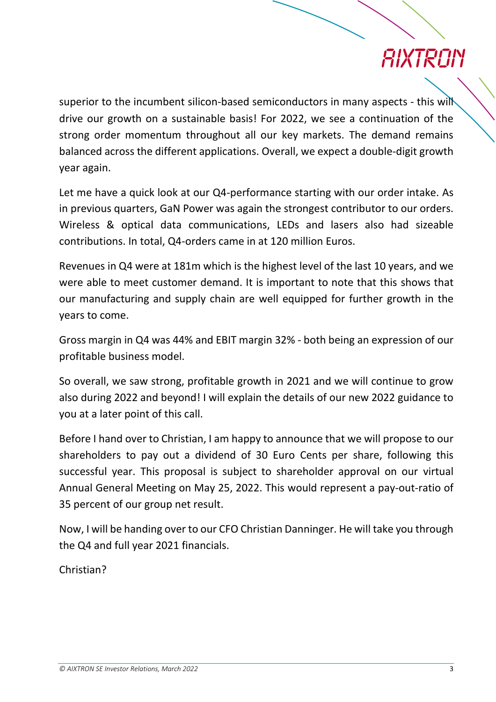## *AIXTRAN*

superior to the incumbent silicon-based semiconductors in many aspects - this will drive our growth on a sustainable basis! For 2022, we see a continuation of the strong order momentum throughout all our key markets. The demand remains balanced across the different applications. Overall, we expect a double-digit growth year again.

Let me have a quick look at our Q4-performance starting with our order intake. As in previous quarters, GaN Power was again the strongest contributor to our orders. Wireless & optical data communications, LEDs and lasers also had sizeable contributions. In total, Q4-orders came in at 120 million Euros.

Revenues in Q4 were at 181m which is the highest level of the last 10 years, and we were able to meet customer demand. It is important to note that this shows that our manufacturing and supply chain are well equipped for further growth in the years to come.

Gross margin in Q4 was 44% and EBIT margin 32% - both being an expression of our profitable business model.

So overall, we saw strong, profitable growth in 2021 and we will continue to grow also during 2022 and beyond! I will explain the details of our new 2022 guidance to you at a later point of this call.

Before I hand over to Christian, I am happy to announce that we will propose to our shareholders to pay out a dividend of 30 Euro Cents per share, following this successful year. This proposal is subject to shareholder approval on our virtual Annual General Meeting on May 25, 2022. This would represent a pay-out-ratio of 35 percent of our group net result.

Now, I will be handing over to our CFO Christian Danninger. He will take you through the Q4 and full year 2021 financials.

Christian?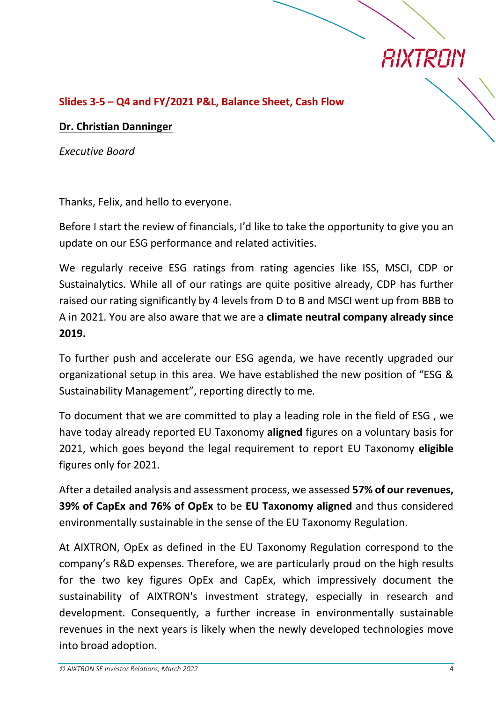

## **Slides 3-5 – Q4 and FY/2021 P&L, Balance Sheet, Cash Flow**

#### **Dr. Christian Danninger**

*Executive Board*

Thanks, Felix, and hello to everyone.

Before I start the review of financials, I'd like to take the opportunity to give you an update on our ESG performance and related activities.

We regularly receive ESG ratings from rating agencies like ISS, MSCI, CDP or Sustainalytics. While all of our ratings are quite positive already, CDP has further raised our rating significantly by 4 levels from D to B and MSCI went up from BBB to A in 2021. You are also aware that we are a **climate neutral company already since 2019.**

To further push and accelerate our ESG agenda, we have recently upgraded our organizational setup in this area. We have established the new position of "ESG & Sustainability Management", reporting directly to me.

To document that we are committed to play a leading role in the field of ESG , we have today already reported EU Taxonomy **aligned** figures on a voluntary basis for 2021, which goes beyond the legal requirement to report EU Taxonomy **eligible** figures only for 2021.

After a detailed analysis and assessment process, we assessed **57% of our revenues, 39% of CapEx and 76% of OpEx** to be **EU Taxonomy aligned** and thus considered environmentally sustainable in the sense of the EU Taxonomy Regulation.

At AIXTRON, OpEx as defined in the EU Taxonomy Regulation correspond to the company's R&D expenses. Therefore, we are particularly proud on the high results for the two key figures OpEx and CapEx, which impressively document the sustainability of AIXTRON's investment strategy, especially in research and development. Consequently, a further increase in environmentally sustainable revenues in the next years is likely when the newly developed technologies move into broad adoption.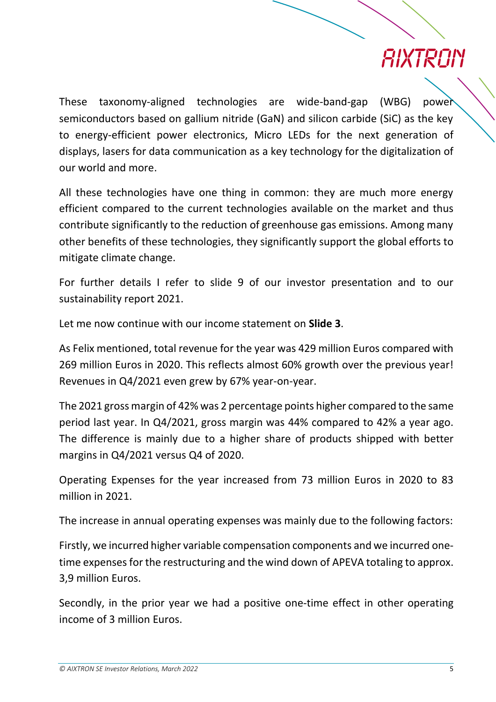These taxonomy-aligned technologies are wide-band-gap (WBG) power semiconductors based on gallium nitride (GaN) and silicon carbide (SiC) as the key to energy-efficient power electronics, Micro LEDs for the next generation of displays, lasers for data communication as a key technology for the digitalization of our world and more.

All these technologies have one thing in common: they are much more energy efficient compared to the current technologies available on the market and thus contribute significantly to the reduction of greenhouse gas emissions. Among many other benefits of these technologies, they significantly support the global efforts to mitigate climate change.

For further details I refer to slide 9 of our investor presentation and to our sustainability report 2021.

Let me now continue with our income statement on **Slide 3**.

As Felix mentioned, total revenue for the year was 429 million Euros compared with 269 million Euros in 2020. This reflects almost 60% growth over the previous year! Revenues in Q4/2021 even grew by 67% year-on-year.

The 2021 gross margin of 42% was 2 percentage points higher compared to the same period last year. In Q4/2021, gross margin was 44% compared to 42% a year ago. The difference is mainly due to a higher share of products shipped with better margins in Q4/2021 versus Q4 of 2020.

Operating Expenses for the year increased from 73 million Euros in 2020 to 83 million in 2021.

The increase in annual operating expenses was mainly due to the following factors:

Firstly, we incurred higher variable compensation components and we incurred onetime expenses for the restructuring and the wind down of APEVA totaling to approx. 3,9 million Euros.

Secondly, in the prior year we had a positive one-time effect in other operating income of 3 million Euros.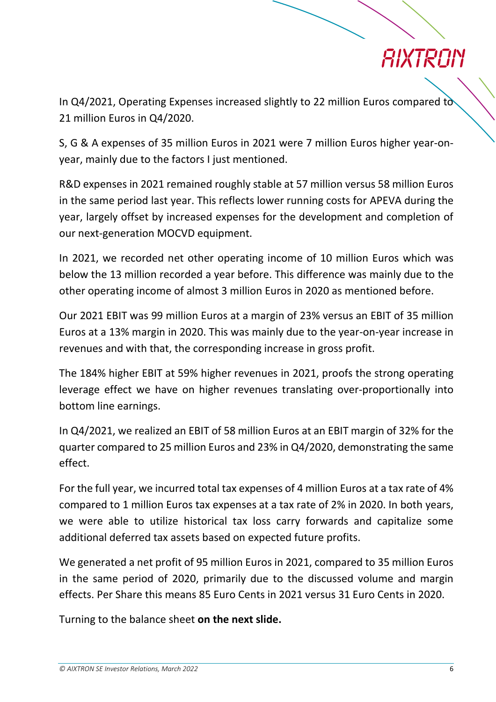In Q4/2021, Operating Expenses increased slightly to 22 million Euros compared to 21 million Euros in Q4/2020.

S, G & A expenses of 35 million Euros in 2021 were 7 million Euros higher year-onyear, mainly due to the factors I just mentioned.

R&D expenses in 2021 remained roughly stable at 57 million versus 58 million Euros in the same period last year. This reflects lower running costs for APEVA during the year, largely offset by increased expenses for the development and completion of our next-generation MOCVD equipment.

In 2021, we recorded net other operating income of 10 million Euros which was below the 13 million recorded a year before. This difference was mainly due to the other operating income of almost 3 million Euros in 2020 as mentioned before.

Our 2021 EBIT was 99 million Euros at a margin of 23% versus an EBIT of 35 million Euros at a 13% margin in 2020. This was mainly due to the year-on-year increase in revenues and with that, the corresponding increase in gross profit.

The 184% higher EBIT at 59% higher revenues in 2021, proofs the strong operating leverage effect we have on higher revenues translating over-proportionally into bottom line earnings.

In Q4/2021, we realized an EBIT of 58 million Euros at an EBIT margin of 32% for the quarter compared to 25 million Euros and 23% in Q4/2020, demonstrating the same effect.

For the full year, we incurred total tax expenses of 4 million Euros at a tax rate of 4% compared to 1 million Euros tax expenses at a tax rate of 2% in 2020. In both years, we were able to utilize historical tax loss carry forwards and capitalize some additional deferred tax assets based on expected future profits.

We generated a net profit of 95 million Euros in 2021, compared to 35 million Euros in the same period of 2020, primarily due to the discussed volume and margin effects. Per Share this means 85 Euro Cents in 2021 versus 31 Euro Cents in 2020.

Turning to the balance sheet **on the next slide.**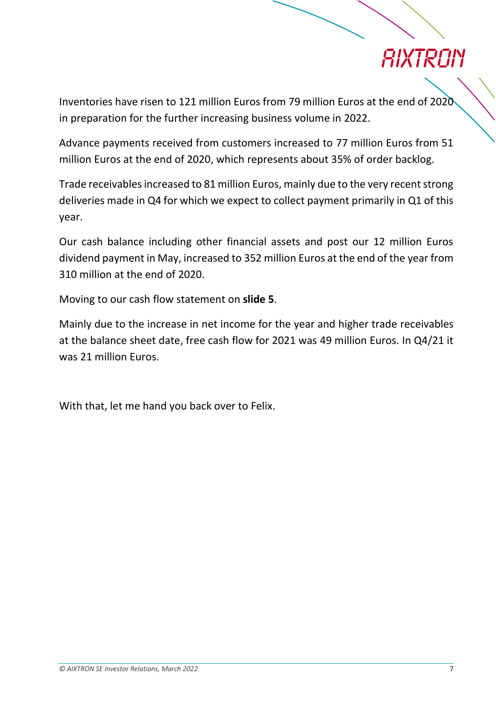## *RIXTRAN*

Inventories have risen to 121 million Euros from 79 million Euros at the end of 2020 in preparation for the further increasing business volume in 2022.

Advance payments received from customers increased to 77 million Euros from 51 million Euros at the end of 2020, which represents about 35% of order backlog.

Trade receivables increased to 81 million Euros, mainly due to the very recent strong deliveries made in Q4 for which we expect to collect payment primarily in Q1 of this year.

Our cash balance including other financial assets and post our 12 million Euros dividend payment in May, increased to 352 million Euros at the end of the year from 310 million at the end of 2020.

Moving to our cash flow statement on **slide 5**.

Mainly due to the increase in net income for the year and higher trade receivables at the balance sheet date, free cash flow for 2021 was 49 million Euros. In Q4/21 it was 21 million Euros.

With that, let me hand you back over to Felix.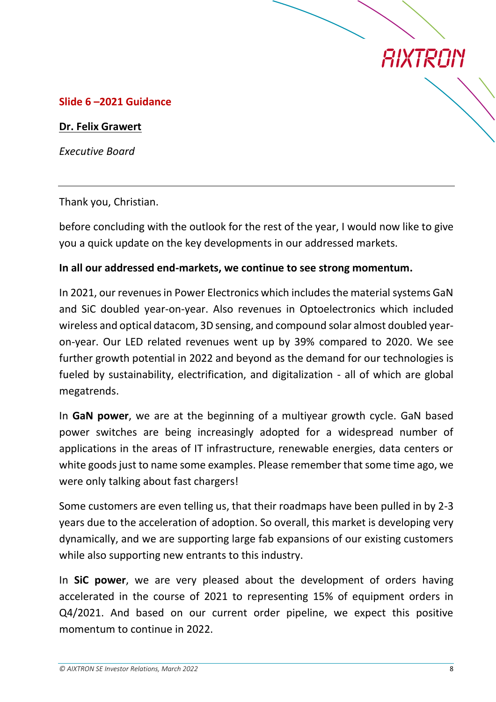### **Slide 6 –2021 Guidance**

#### **Dr. Felix Grawert**

*Executive Board*

Thank you, Christian.

before concluding with the outlook for the rest of the year, I would now like to give you a quick update on the key developments in our addressed markets.

#### **In all our addressed end-markets, we continue to see strong momentum.**

In 2021, our revenues in Power Electronics which includes the material systems GaN and SiC doubled year-on-year. Also revenues in Optoelectronics which included wireless and optical datacom, 3D sensing, and compound solar almost doubled yearon-year. Our LED related revenues went up by 39% compared to 2020. We see further growth potential in 2022 and beyond as the demand for our technologies is fueled by sustainability, electrification, and digitalization - all of which are global megatrends.

In **GaN power**, we are at the beginning of a multiyear growth cycle. GaN based power switches are being increasingly adopted for a widespread number of applications in the areas of IT infrastructure, renewable energies, data centers or white goods just to name some examples. Please remember that some time ago, we were only talking about fast chargers!

Some customers are even telling us, that their roadmaps have been pulled in by 2-3 years due to the acceleration of adoption. So overall, this market is developing very dynamically, and we are supporting large fab expansions of our existing customers while also supporting new entrants to this industry.

In **SiC power**, we are very pleased about the development of orders having accelerated in the course of 2021 to representing 15% of equipment orders in Q4/2021. And based on our current order pipeline, we expect this positive momentum to continue in 2022.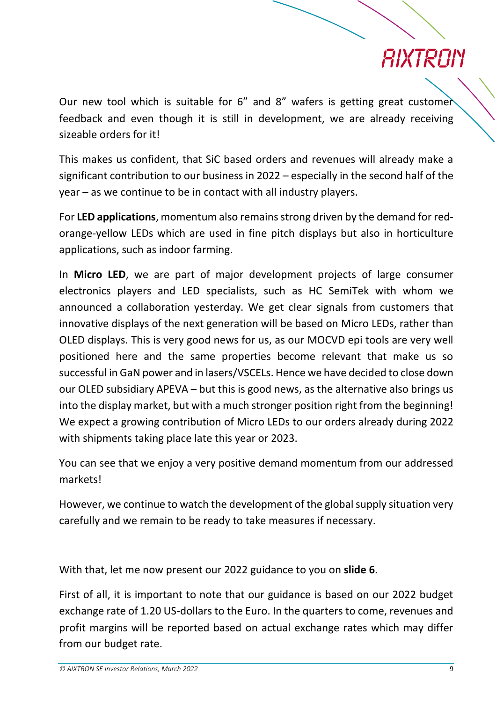Our new tool which is suitable for 6" and 8" wafers is getting great customer feedback and even though it is still in development, we are already receiving sizeable orders for it!

This makes us confident, that SiC based orders and revenues will already make a significant contribution to our business in 2022 – especially in the second half of the year – as we continue to be in contact with all industry players.

For **LED applications**, momentum also remains strong driven by the demand for redorange-yellow LEDs which are used in fine pitch displays but also in horticulture applications, such as indoor farming.

In **Micro LED**, we are part of major development projects of large consumer electronics players and LED specialists, such as HC SemiTek with whom we announced a collaboration yesterday. We get clear signals from customers that innovative displays of the next generation will be based on Micro LEDs, rather than OLED displays. This is very good news for us, as our MOCVD epi tools are very well positioned here and the same properties become relevant that make us so successful in GaN power and in lasers/VSCELs. Hence we have decided to close down our OLED subsidiary APEVA – but this is good news, as the alternative also brings us into the display market, but with a much stronger position right from the beginning! We expect a growing contribution of Micro LEDs to our orders already during 2022 with shipments taking place late this year or 2023.

You can see that we enjoy a very positive demand momentum from our addressed markets!

However, we continue to watch the development of the global supply situation very carefully and we remain to be ready to take measures if necessary.

With that, let me now present our 2022 guidance to you on **slide 6**.

First of all, it is important to note that our guidance is based on our 2022 budget exchange rate of 1.20 US-dollars to the Euro. In the quarters to come, revenues and profit margins will be reported based on actual exchange rates which may differ from our budget rate.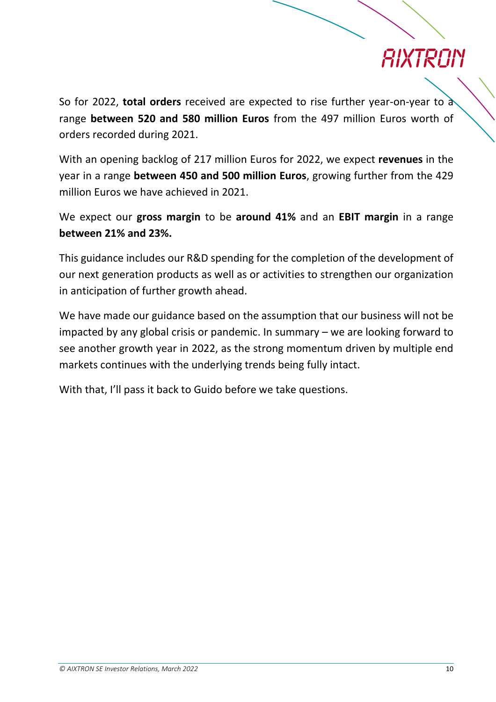So for 2022, **total orders** received are expected to rise further year-on-year to a range **between 520 and 580 million Euros** from the 497 million Euros worth of orders recorded during 2021.

With an opening backlog of 217 million Euros for 2022, we expect **revenues** in the year in a range **between 450 and 500 million Euros**, growing further from the 429 million Euros we have achieved in 2021.

We expect our **gross margin** to be **around 41%** and an **EBIT margin** in a range **between 21% and 23%.**

This guidance includes our R&D spending for the completion of the development of our next generation products as well as or activities to strengthen our organization in anticipation of further growth ahead.

We have made our guidance based on the assumption that our business will not be impacted by any global crisis or pandemic. In summary – we are looking forward to see another growth year in 2022, as the strong momentum driven by multiple end markets continues with the underlying trends being fully intact.

With that, I'll pass it back to Guido before we take questions.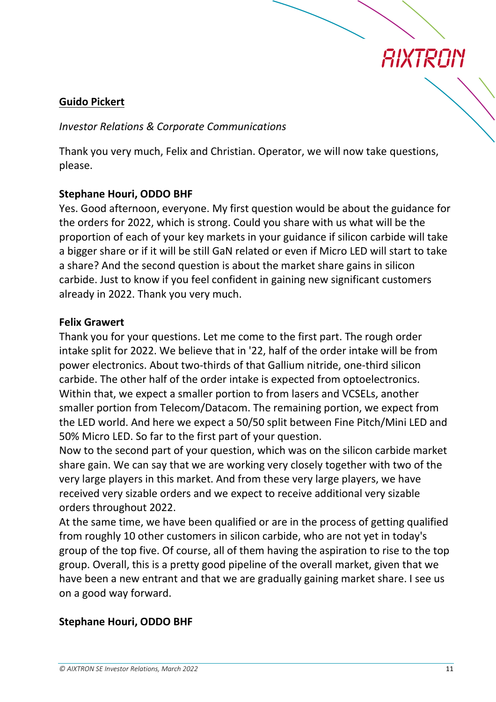

## **Guido Pickert**

#### *Investor Relations & Corporate Communications*

Thank you very much, Felix and Christian. Operator, we will now take questions, please.

### **Stephane Houri, ODDO BHF**

Yes. Good afternoon, everyone. My first question would be about the guidance for the orders for 2022, which is strong. Could you share with us what will be the proportion of each of your key markets in your guidance if silicon carbide will take a bigger share or if it will be still GaN related or even if Micro LED will start to take a share? And the second question is about the market share gains in silicon carbide. Just to know if you feel confident in gaining new significant customers already in 2022. Thank you very much.

#### **Felix Grawert**

Thank you for your questions. Let me come to the first part. The rough order intake split for 2022. We believe that in '22, half of the order intake will be from power electronics. About two-thirds of that Gallium nitride, one-third silicon carbide. The other half of the order intake is expected from optoelectronics. Within that, we expect a smaller portion to from lasers and VCSELs, another smaller portion from Telecom/Datacom. The remaining portion, we expect from the LED world. And here we expect a 50/50 split between Fine Pitch/Mini LED and 50% Micro LED. So far to the first part of your question.

Now to the second part of your question, which was on the silicon carbide market share gain. We can say that we are working very closely together with two of the very large players in this market. And from these very large players, we have received very sizable orders and we expect to receive additional very sizable orders throughout 2022.

At the same time, we have been qualified or are in the process of getting qualified from roughly 10 other customers in silicon carbide, who are not yet in today's group of the top five. Of course, all of them having the aspiration to rise to the top group. Overall, this is a pretty good pipeline of the overall market, given that we have been a new entrant and that we are gradually gaining market share. I see us on a good way forward.

## **Stephane Houri, ODDO BHF**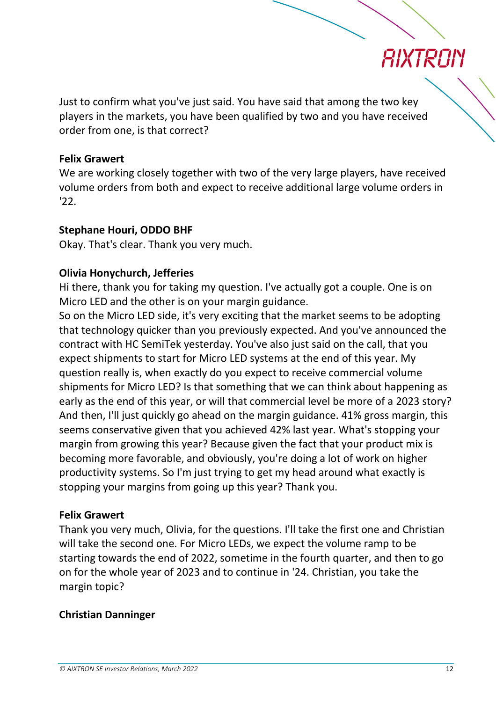

Just to confirm what you've just said. You have said that among the two key players in the markets, you have been qualified by two and you have received order from one, is that correct?

### **Felix Grawert**

We are working closely together with two of the very large players, have received volume orders from both and expect to receive additional large volume orders in '22.

## **Stephane Houri, ODDO BHF**

Okay. That's clear. Thank you very much.

## **Olivia Honychurch, Jefferies**

Hi there, thank you for taking my question. I've actually got a couple. One is on Micro LED and the other is on your margin guidance.

So on the Micro LED side, it's very exciting that the market seems to be adopting that technology quicker than you previously expected. And you've announced the contract with HC SemiTek yesterday. You've also just said on the call, that you expect shipments to start for Micro LED systems at the end of this year. My question really is, when exactly do you expect to receive commercial volume shipments for Micro LED? Is that something that we can think about happening as early as the end of this year, or will that commercial level be more of a 2023 story? And then, I'll just quickly go ahead on the margin guidance. 41% gross margin, this seems conservative given that you achieved 42% last year. What's stopping your margin from growing this year? Because given the fact that your product mix is becoming more favorable, and obviously, you're doing a lot of work on higher productivity systems. So I'm just trying to get my head around what exactly is stopping your margins from going up this year? Thank you.

## **Felix Grawert**

Thank you very much, Olivia, for the questions. I'll take the first one and Christian will take the second one. For Micro LEDs, we expect the volume ramp to be starting towards the end of 2022, sometime in the fourth quarter, and then to go on for the whole year of 2023 and to continue in '24. Christian, you take the margin topic?

## **Christian Danninger**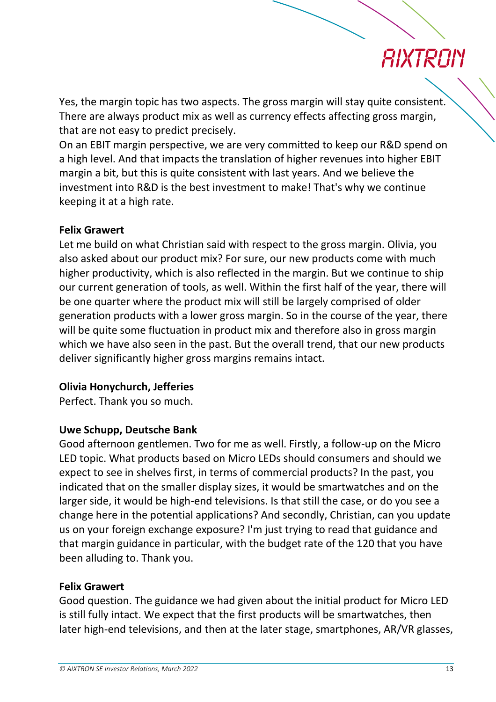Yes, the margin topic has two aspects. The gross margin will stay quite consistent. There are always product mix as well as currency effects affecting gross margin, that are not easy to predict precisely.

On an EBIT margin perspective, we are very committed to keep our R&D spend on a high level. And that impacts the translation of higher revenues into higher EBIT margin a bit, but this is quite consistent with last years. And we believe the investment into R&D is the best investment to make! That's why we continue keeping it at a high rate.

## **Felix Grawert**

Let me build on what Christian said with respect to the gross margin. Olivia, you also asked about our product mix? For sure, our new products come with much higher productivity, which is also reflected in the margin. But we continue to ship our current generation of tools, as well. Within the first half of the year, there will be one quarter where the product mix will still be largely comprised of older generation products with a lower gross margin. So in the course of the year, there will be quite some fluctuation in product mix and therefore also in gross margin which we have also seen in the past. But the overall trend, that our new products deliver significantly higher gross margins remains intact.

## **Olivia Honychurch, Jefferies**

Perfect. Thank you so much.

## **Uwe Schupp, Deutsche Bank**

Good afternoon gentlemen. Two for me as well. Firstly, a follow-up on the Micro LED topic. What products based on Micro LEDs should consumers and should we expect to see in shelves first, in terms of commercial products? In the past, you indicated that on the smaller display sizes, it would be smartwatches and on the larger side, it would be high-end televisions. Is that still the case, or do you see a change here in the potential applications? And secondly, Christian, can you update us on your foreign exchange exposure? I'm just trying to read that guidance and that margin guidance in particular, with the budget rate of the 120 that you have been alluding to. Thank you.

## **Felix Grawert**

Good question. The guidance we had given about the initial product for Micro LED is still fully intact. We expect that the first products will be smartwatches, then later high-end televisions, and then at the later stage, smartphones, AR/VR glasses,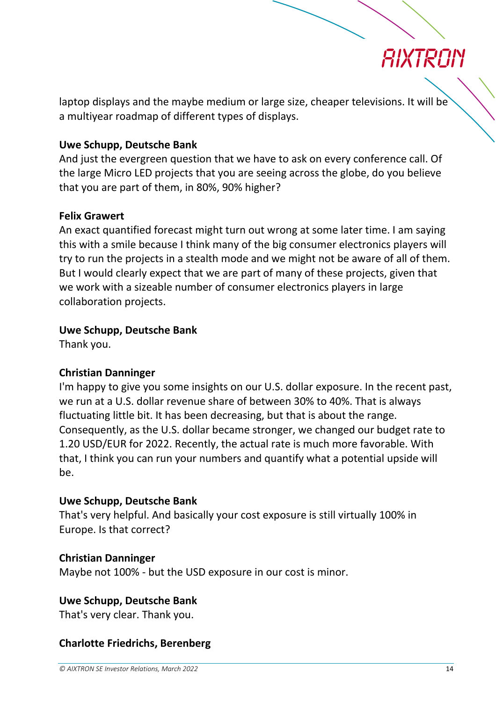

laptop displays and the maybe medium or large size, cheaper televisions. It will be a multiyear roadmap of different types of displays.

### **Uwe Schupp, Deutsche Bank**

And just the evergreen question that we have to ask on every conference call. Of the large Micro LED projects that you are seeing across the globe, do you believe that you are part of them, in 80%, 90% higher?

#### **Felix Grawert**

An exact quantified forecast might turn out wrong at some later time. I am saying this with a smile because I think many of the big consumer electronics players will try to run the projects in a stealth mode and we might not be aware of all of them. But I would clearly expect that we are part of many of these projects, given that we work with a sizeable number of consumer electronics players in large collaboration projects.

#### **Uwe Schupp, Deutsche Bank**

Thank you.

#### **Christian Danninger**

I'm happy to give you some insights on our U.S. dollar exposure. In the recent past, we run at a U.S. dollar revenue share of between 30% to 40%. That is always fluctuating little bit. It has been decreasing, but that is about the range. Consequently, as the U.S. dollar became stronger, we changed our budget rate to 1.20 USD/EUR for 2022. Recently, the actual rate is much more favorable. With that, I think you can run your numbers and quantify what a potential upside will be.

#### **Uwe Schupp, Deutsche Bank**

That's very helpful. And basically your cost exposure is still virtually 100% in Europe. Is that correct?

#### **Christian Danninger**

Maybe not 100% - but the USD exposure in our cost is minor.

#### **Uwe Schupp, Deutsche Bank**

That's very clear. Thank you.

#### **Charlotte Friedrichs, Berenberg**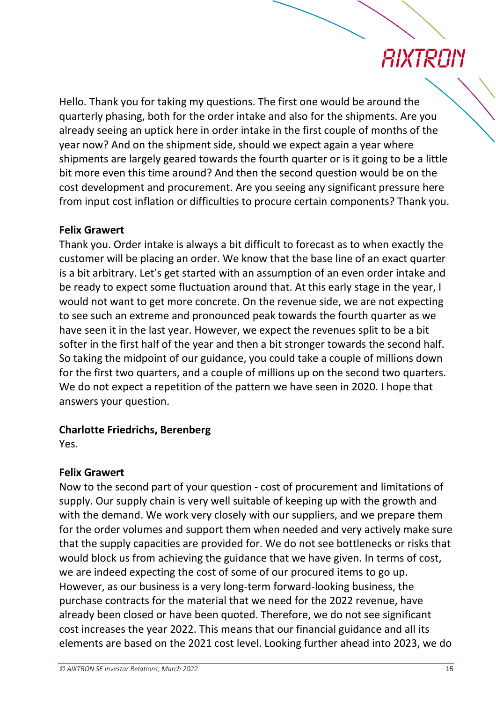Hello. Thank you for taking my questions. The first one would be around the quarterly phasing, both for the order intake and also for the shipments. Are you already seeing an uptick here in order intake in the first couple of months of the year now? And on the shipment side, should we expect again a year where shipments are largely geared towards the fourth quarter or is it going to be a little bit more even this time around? And then the second question would be on the cost development and procurement. Are you seeing any significant pressure here from input cost inflation or difficulties to procure certain components? Thank you.

## **Felix Grawert**

Thank you. Order intake is always a bit difficult to forecast as to when exactly the customer will be placing an order. We know that the base line of an exact quarter is a bit arbitrary. Let's get started with an assumption of an even order intake and be ready to expect some fluctuation around that. At this early stage in the year, I would not want to get more concrete. On the revenue side, we are not expecting to see such an extreme and pronounced peak towards the fourth quarter as we have seen it in the last year. However, we expect the revenues split to be a bit softer in the first half of the year and then a bit stronger towards the second half. So taking the midpoint of our guidance, you could take a couple of millions down for the first two quarters, and a couple of millions up on the second two quarters. We do not expect a repetition of the pattern we have seen in 2020. I hope that answers your question.

## **Charlotte Friedrichs, Berenberg**

Yes.

## **Felix Grawert**

Now to the second part of your question - cost of procurement and limitations of supply. Our supply chain is very well suitable of keeping up with the growth and with the demand. We work very closely with our suppliers, and we prepare them for the order volumes and support them when needed and very actively make sure that the supply capacities are provided for. We do not see bottlenecks or risks that would block us from achieving the guidance that we have given. In terms of cost, we are indeed expecting the cost of some of our procured items to go up. However, as our business is a very long-term forward-looking business, the purchase contracts for the material that we need for the 2022 revenue, have already been closed or have been quoted. Therefore, we do not see significant cost increases the year 2022. This means that our financial guidance and all its elements are based on the 2021 cost level. Looking further ahead into 2023, we do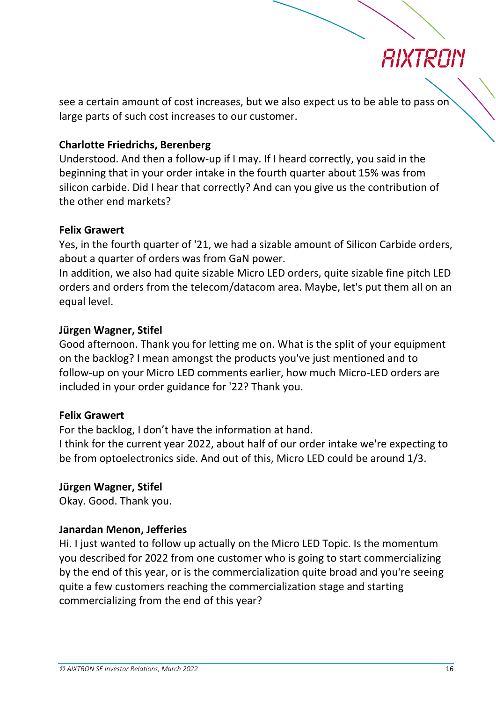

see a certain amount of cost increases, but we also expect us to be able to pass on large parts of such cost increases to our customer.

### **Charlotte Friedrichs, Berenberg**

Understood. And then a follow-up if I may. If I heard correctly, you said in the beginning that in your order intake in the fourth quarter about 15% was from silicon carbide. Did I hear that correctly? And can you give us the contribution of the other end markets?

### **Felix Grawert**

Yes, in the fourth quarter of '21, we had a sizable amount of Silicon Carbide orders, about a quarter of orders was from GaN power.

In addition, we also had quite sizable Micro LED orders, quite sizable fine pitch LED orders and orders from the telecom/datacom area. Maybe, let's put them all on an equal level.

### **Jürgen Wagner, Stifel**

Good afternoon. Thank you for letting me on. What is the split of your equipment on the backlog? I mean amongst the products you've just mentioned and to follow-up on your Micro LED comments earlier, how much Micro-LED orders are included in your order guidance for '22? Thank you.

#### **Felix Grawert**

For the backlog, I don't have the information at hand.

I think for the current year 2022, about half of our order intake we're expecting to be from optoelectronics side. And out of this, Micro LED could be around 1/3.

## **Jürgen Wagner, Stifel**

Okay. Good. Thank you.

#### **Janardan Menon, Jefferies**

Hi. I just wanted to follow up actually on the Micro LED Topic. Is the momentum you described for 2022 from one customer who is going to start commercializing by the end of this year, or is the commercialization quite broad and you're seeing quite a few customers reaching the commercialization stage and starting commercializing from the end of this year?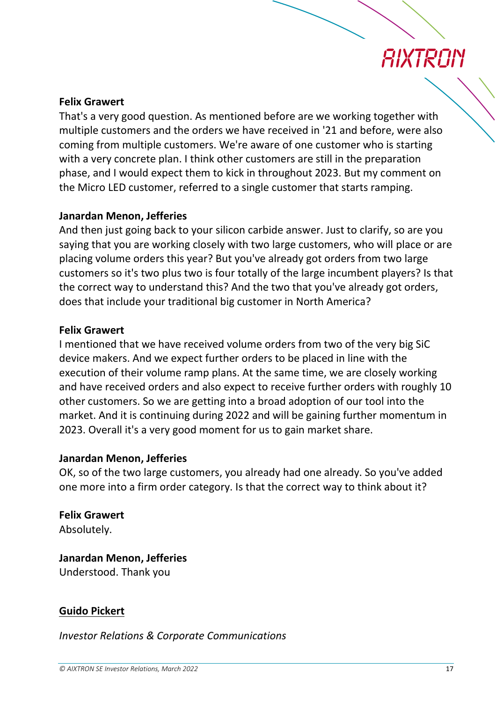## *RIXTRAIN*

### **Felix Grawert**

That's a very good question. As mentioned before are we working together with multiple customers and the orders we have received in '21 and before, were also coming from multiple customers. We're aware of one customer who is starting with a very concrete plan. I think other customers are still in the preparation phase, and I would expect them to kick in throughout 2023. But my comment on the Micro LED customer, referred to a single customer that starts ramping.

### **Janardan Menon, Jefferies**

And then just going back to your silicon carbide answer. Just to clarify, so are you saying that you are working closely with two large customers, who will place or are placing volume orders this year? But you've already got orders from two large customers so it's two plus two is four totally of the large incumbent players? Is that the correct way to understand this? And the two that you've already got orders, does that include your traditional big customer in North America?

#### **Felix Grawert**

I mentioned that we have received volume orders from two of the very big SiC device makers. And we expect further orders to be placed in line with the execution of their volume ramp plans. At the same time, we are closely working and have received orders and also expect to receive further orders with roughly 10 other customers. So we are getting into a broad adoption of our tool into the market. And it is continuing during 2022 and will be gaining further momentum in 2023. Overall it's a very good moment for us to gain market share.

#### **Janardan Menon, Jefferies**

OK, so of the two large customers, you already had one already. So you've added one more into a firm order category. Is that the correct way to think about it?

## **Felix Grawert**

Absolutely.

**Janardan Menon, Jefferies** Understood. Thank you

## **Guido Pickert**

*Investor Relations & Corporate Communications*